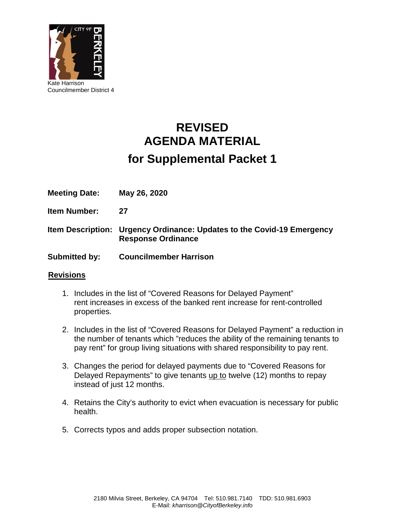

# **REVISED AGENDA MATERIAL for Supplemental Packet 1**

**Meeting Date: May 26, 2020**

**Item Number: 27**

**Item Description: Urgency Ordinance: Updates to the Covid-19 Emergency Response Ordinance**

**Submitted by: Councilmember Harrison**

#### **Revisions**

- 1. Includes in the list of "Covered Reasons for Delayed Payment" rent increases in excess of the banked rent increase for rent-controlled properties.
- 2. Includes in the list of "Covered Reasons for Delayed Payment" a reduction in the number of tenants which "reduces the ability of the remaining tenants to pay rent" for group living situations with shared responsibility to pay rent.
- 3. Changes the period for delayed payments due to "Covered Reasons for Delayed Repayments" to give tenants up to twelve (12) months to repay instead of just 12 months.
- 4. Retains the City's authority to evict when evacuation is necessary for public health.
- 5. Corrects typos and adds proper subsection notation.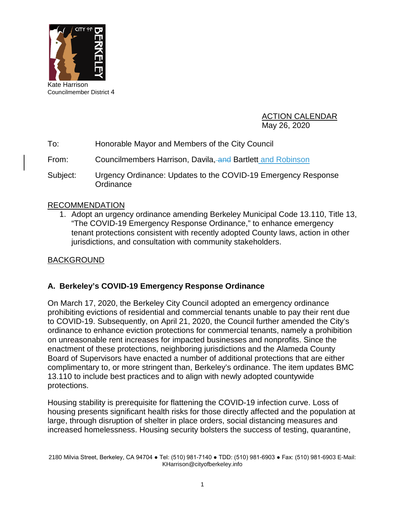

Councilmember District 4

ACTION CALENDAR May 26, 2020

- To: Honorable Mayor and Members of the City Council
- From: Councilmembers Harrison, Davila, and Bartlett and Robinson
- Subject: Urgency Ordinance: Updates to the COVID-19 Emergency Response **Ordinance**

## RECOMMENDATION

1. Adopt an urgency ordinance amending Berkeley Municipal Code 13.110, Title 13, "The COVID-19 Emergency Response Ordinance," to enhance emergency tenant protections consistent with recently adopted County laws, action in other jurisdictions, and consultation with community stakeholders.

## BACKGROUND

# **A. Berkeley's COVID-19 Emergency Response Ordinance**

On March 17, 2020, the Berkeley City Council adopted an emergency ordinance prohibiting evictions of residential and commercial tenants unable to pay their rent due to COVID-19. Subsequently, on April 21, 2020, the Council further amended the City's ordinance to enhance eviction protections for commercial tenants, namely a prohibition on unreasonable rent increases for impacted businesses and nonprofits. Since the enactment of these protections, neighboring jurisdictions and the Alameda County Board of Supervisors have enacted a number of additional protections that are either complimentary to, or more stringent than, Berkeley's ordinance. The item updates BMC 13.110 to include best practices and to align with newly adopted countywide protections.

Housing stability is prerequisite for flattening the COVID-19 infection curve. Loss of housing presents significant health risks for those directly affected and the population at large, through disruption of shelter in place orders, social distancing measures and increased homelessness. Housing security bolsters the success of testing, quarantine,

<sup>2180</sup> Milvia Street, Berkeley, CA 94704 ● Tel: (510) 981-7140 ● TDD: (510) 981-6903 ● Fax: (510) 981-6903 E-Mail: KHarrison@cityofberkeley.info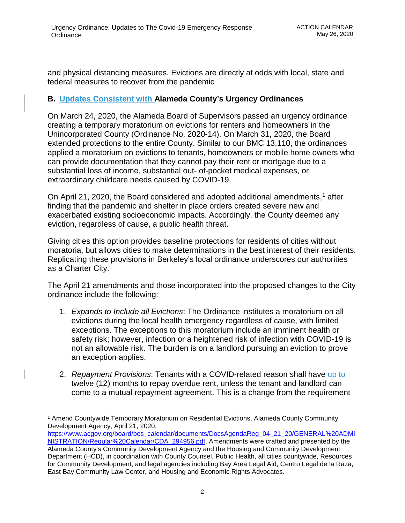and physical distancing measures. Evictions are directly at odds with local, state and federal measures to recover from the pandemic

# **B. Updates Consistent with Alameda County's Urgency Ordinances**

On March 24, 2020, the Alameda Board of Supervisors passed an urgency ordinance creating a temporary moratorium on evictions for renters and homeowners in the Unincorporated County (Ordinance No. 2020-14). On March 31, 2020, the Board extended protections to the entire County. Similar to our BMC 13.110, the ordinances applied a moratorium on evictions to tenants, homeowners or mobile home owners who can provide documentation that they cannot pay their rent or mortgage due to a substantial loss of income, substantial out- of-pocket medical expenses, or extraordinary childcare needs caused by COVID-19.

On April 21, 2020, the Board considered and adopted additional amendments, [1](#page-2-0) after finding that the pandemic and shelter in place orders created severe new and exacerbated existing socioeconomic impacts. Accordingly, the County deemed any eviction, regardless of cause, a public health threat.

Giving cities this option provides baseline protections for residents of cities without moratoria, but allows cities to make determinations in the best interest of their residents. Replicating these provisions in Berkeley's local ordinance underscores our authorities as a Charter City.

The April 21 amendments and those incorporated into the proposed changes to the City ordinance include the following:

- 1. *Expands to Include all Evictions*: The Ordinance institutes a moratorium on all evictions during the local health emergency regardless of cause, with limited exceptions. The exceptions to this moratorium include an imminent health or safety risk; however, infection or a heightened risk of infection with COVID-19 is not an allowable risk. The burden is on a landlord pursuing an eviction to prove an exception applies.
- 2. *Repayment Provisions*: Tenants with a COVID-related reason shall have up to twelve (12) months to repay overdue rent, unless the tenant and landlord can come to a mutual repayment agreement. This is a change from the requirement

<span id="page-2-0"></span> $\overline{a}$ <sup>1</sup> Amend Countywide Temporary Moratorium on Residential Evictions, Alameda County Community Development Agency, April 21, 2020,

[https://www.acgov.org/board/bos\\_calendar/documents/DocsAgendaReg\\_04\\_21\\_20/GENERAL%20ADMI](https://www.acgov.org/board/bos_calendar/documents/DocsAgendaReg_04_21_20/GENERAL%20ADMINISTRATION/Regular%20Calendar/CDA_294956.pdf) [NISTRATION/Regular%20Calendar/CDA\\_294956.pdf,](https://www.acgov.org/board/bos_calendar/documents/DocsAgendaReg_04_21_20/GENERAL%20ADMINISTRATION/Regular%20Calendar/CDA_294956.pdf) Amendments were crafted and presented by the Alameda County's Community Development Agency and the Housing and Community Development Department (HCD), in coordination with County Counsel, Public Health, all cities countywide, Resources for Community Development, and legal agencies including Bay Area Legal Aid, Centro Legal de la Raza, East Bay Community Law Center, and Housing and Economic Rights Advocates.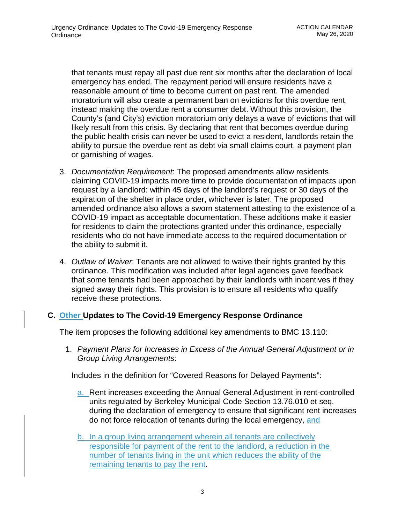that tenants must repay all past due rent six months after the declaration of local emergency has ended. The repayment period will ensure residents have a reasonable amount of time to become current on past rent. The amended moratorium will also create a permanent ban on evictions for this overdue rent, instead making the overdue rent a consumer debt. Without this provision, the County's (and City's) eviction moratorium only delays a wave of evictions that will likely result from this crisis. By declaring that rent that becomes overdue during the public health crisis can never be used to evict a resident, landlords retain the ability to pursue the overdue rent as debt via small claims court, a payment plan or garnishing of wages.

- 3. *Documentation Requirement*: The proposed amendments allow residents claiming COVID-19 impacts more time to provide documentation of impacts upon request by a landlord: within 45 days of the landlord's request or 30 days of the expiration of the shelter in place order, whichever is later. The proposed amended ordinance also allows a sworn statement attesting to the existence of a COVID-19 impact as acceptable documentation. These additions make it easier for residents to claim the protections granted under this ordinance, especially residents who do not have immediate access to the required documentation or the ability to submit it.
- 4. *Outlaw of Waiver*: Tenants are not allowed to waive their rights granted by this ordinance. This modification was included after legal agencies gave feedback that some tenants had been approached by their landlords with incentives if they signed away their rights. This provision is to ensure all residents who qualify receive these protections.

# **C. Other Updates to The Covid-19 Emergency Response Ordinance**

The item proposes the following additional key amendments to BMC 13.110:

1. *Payment Plans for Increases in Excess of the Annual General Adjustment or in Group Living Arrangements*:

Includes in the definition for "Covered Reasons for Delayed Payments":

- a. Rent increases exceeding the Annual General Adjustment in rent-controlled units regulated by Berkeley Municipal Code Section 13.76.010 et seq. during the declaration of emergency to ensure that significant rent increases do not force relocation of tenants during the local emergency, and
- b. In a group living arrangement wherein all tenants are collectively responsible for payment of the rent to the landlord, a reduction in the number of tenants living in the unit which reduces the ability of the remaining tenants to pay the rent.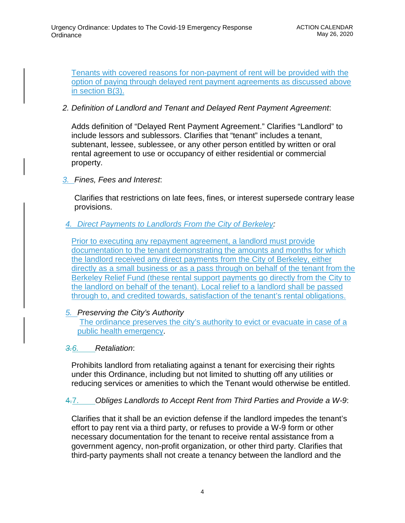Tenants with covered reasons for non-payment of rent will be provided with the option of paying through delayed rent payment agreements as discussed above in section B(3).

## *2. Definition of Landlord and Tenant and Delayed Rent Payment Agreement*:

Adds definition of "Delayed Rent Payment Agreement." Clarifies "Landlord" to include lessors and sublessors. Clarifies that "tenant" includes a tenant, subtenant, lessee, sublessee, or any other person entitled by written or oral rental agreement to use or occupancy of either residential or commercial property.

## *3. Fines, Fees and Interest*:

Clarifies that restrictions on late fees, fines, or interest supersede contrary lease provisions.

## *4. Direct Payments to Landlords From the City of Berkeley:*

Prior to executing any repayment agreement, a landlord must provide documentation to the tenant demonstrating the amounts and months for which the landlord received any direct payments from the City of Berkeley, either directly as a small business or as a pass through on behalf of the tenant from the Berkeley Relief Fund (these rental support payments go directly from the City to the landlord on behalf of the tenant). Local relief to a landlord shall be passed through to, and credited towards, satisfaction of the tenant's rental obligations.

#### *5. Preserving the City's Authority*

The ordinance preserves the city's authority to evict or evacuate in case of a public health emergency.

#### *3.6. Retaliation*:

Prohibits landlord from retaliating against a tenant for exercising their rights under this Ordinance, including but not limited to shutting off any utilities or reducing services or amenities to which the Tenant would otherwise be entitled.

# 4.7. *Obliges Landlords to Accept Rent from Third Parties and Provide a W-9*:

Clarifies that it shall be an eviction defense if the landlord impedes the tenant's effort to pay rent via a third party, or refuses to provide a W-9 form or other necessary documentation for the tenant to receive rental assistance from a government agency, non-profit organization, or other third party. Clarifies that third-party payments shall not create a tenancy between the landlord and the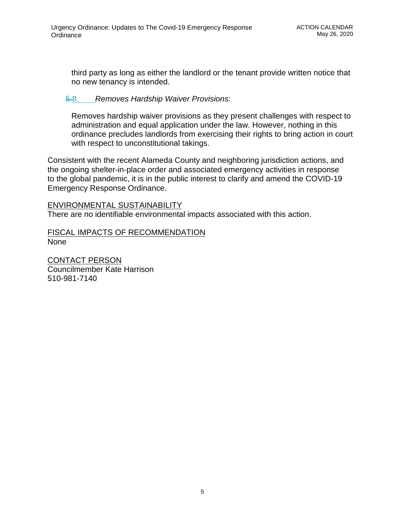third party as long as either the landlord or the tenant provide written notice that no new tenancy is intended.

## 5.8. *Removes Hardship Waiver Provisions*:

Removes hardship waiver provisions as they present challenges with respect to administration and equal application under the law. However, nothing in this ordinance precludes landlords from exercising their rights to bring action in court with respect to unconstitutional takings.

Consistent with the recent Alameda County and neighboring jurisdiction actions, and the ongoing shelter-in-place order and associated emergency activities in response to the global pandemic, it is in the public interest to clarify and amend the COVID-19 Emergency Response Ordinance.

#### ENVIRONMENTAL SUSTAINABILITY

There are no identifiable environmental impacts associated with this action.

#### FISCAL IMPACTS OF RECOMMENDATION None

CONTACT PERSON Councilmember Kate Harrison 510-981-7140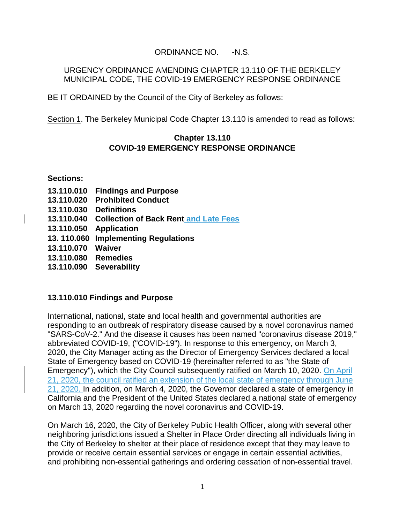# ORDINANCE NO. -N.S.

#### URGENCY ORDINANCE AMENDING CHAPTER 13.110 OF THE BERKELEY MUNICIPAL CODE, THE COVID-19 EMERGENCY RESPONSE ORDINANCE

BE IT ORDAINED by the Council of the City of Berkeley as follows:

Section 1. The Berkeley Municipal Code Chapter 13.110 is amended to read as follows:

#### **Chapter 13.110 COVID-19 EMERGENCY RESPONSE ORDINANCE**

**Sections:** 

- **13.110.010 Findings and Purpose**
- **13.110.020 Prohibited Conduct**
- **13.110.030 Definitions**
- **13.110.040 Collection of Back Rent and Late Fees**
- **13.110.050 Application**
- **13. 110.060 Implementing Regulations**
- **13.110.070 Waiver**
- **13.110.080 Remedies**
- **13.110.090 Severability**

#### **13.110.010 Findings and Purpose**

International, national, state and local health and governmental authorities are responding to an outbreak of respiratory disease caused by a novel coronavirus named "SARS-CoV-2." And the disease it causes has been named "coronavirus disease 2019," abbreviated COVID-19, ("COVID-19"). In response to this emergency, on March 3, 2020, the City Manager acting as the Director of Emergency Services declared a local State of Emergency based on COVID-19 (hereinafter referred to as "the State of Emergency"), which the City Council subsequently ratified on March 10, 2020. On April 21, 2020, the council ratified an extension of the local state of emergency through June 21, 2020. In addition, on March 4, 2020, the Governor declared a state of emergency in California and the President of the United States declared a national state of emergency on March 13, 2020 regarding the novel coronavirus and COVID-19.

On March 16, 2020, the City of Berkeley Public Health Officer, along with several other neighboring jurisdictions issued a Shelter in Place Order directing all individuals living in the City of Berkeley to shelter at their place of residence except that they may leave to provide or receive certain essential services or engage in certain essential activities, and prohibiting non-essential gatherings and ordering cessation of non-essential travel.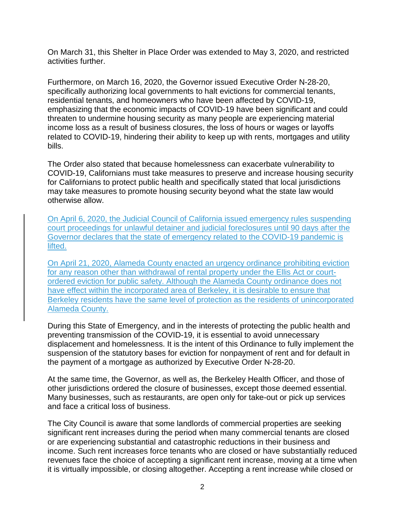On March 31, this Shelter in Place Order was extended to May 3, 2020, and restricted activities further.

Furthermore, on March 16, 2020, the Governor issued Executive Order N-28-20, specifically authorizing local governments to halt evictions for commercial tenants, residential tenants, and homeowners who have been affected by COVID-19, emphasizing that the economic impacts of COVID-19 have been significant and could threaten to undermine housing security as many people are experiencing material income loss as a result of business closures, the loss of hours or wages or layoffs related to COVID-19, hindering their ability to keep up with rents, mortgages and utility bills.

The Order also stated that because homelessness can exacerbate vulnerability to COVID-19, Californians must take measures to preserve and increase housing security for Californians to protect public health and specifically stated that local jurisdictions may take measures to promote housing security beyond what the state law would otherwise allow.

On April 6, 2020, the Judicial Council of California issued emergency rules suspending court proceedings for unlawful detainer and judicial foreclosures until 90 days after the Governor declares that the state of emergency related to the COVID-19 pandemic is lifted.

On April 21, 2020, Alameda County enacted an urgency ordinance prohibiting eviction for any reason other than withdrawal of rental property under the Ellis Act or courtordered eviction for public safety. Although the Alameda County ordinance does not have effect within the incorporated area of Berkeley, it is desirable to ensure that Berkeley residents have the same level of protection as the residents of unincorporated Alameda County.

During this State of Emergency, and in the interests of protecting the public health and preventing transmission of the COVID-19, it is essential to avoid unnecessary displacement and homelessness. It is the intent of this Ordinance to fully implement the suspension of the statutory bases for eviction for nonpayment of rent and for default in the payment of a mortgage as authorized by Executive Order N-28-20.

At the same time, the Governor, as well as, the Berkeley Health Officer, and those of other jurisdictions ordered the closure of businesses, except those deemed essential. Many businesses, such as restaurants, are open only for take-out or pick up services and face a critical loss of business.

The City Council is aware that some landlords of commercial properties are seeking significant rent increases during the period when many commercial tenants are closed or are experiencing substantial and catastrophic reductions in their business and income. Such rent increases force tenants who are closed or have substantially reduced revenues face the choice of accepting a significant rent increase, moving at a time when it is virtually impossible, or closing altogether. Accepting a rent increase while closed or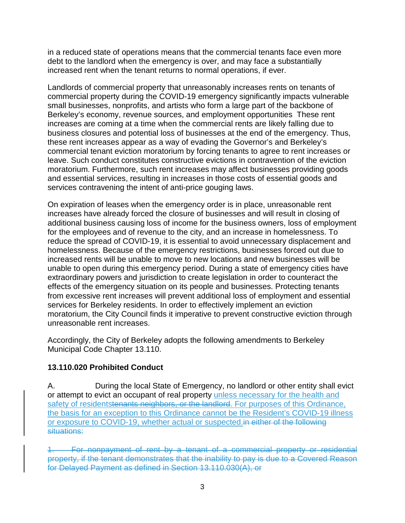in a reduced state of operations means that the commercial tenants face even more debt to the landlord when the emergency is over, and may face a substantially increased rent when the tenant returns to normal operations, if ever.

Landlords of commercial property that unreasonably increases rents on tenants of commercial property during the COVID-19 emergency significantly impacts vulnerable small businesses, nonprofits, and artists who form a large part of the backbone of Berkeley's economy, revenue sources, and employment opportunities These rent increases are coming at a time when the commercial rents are likely falling due to business closures and potential loss of businesses at the end of the emergency. Thus, these rent increases appear as a way of evading the Governor's and Berkeley's commercial tenant eviction moratorium by forcing tenants to agree to rent increases or leave. Such conduct constitutes constructive evictions in contravention of the eviction moratorium. Furthermore, such rent increases may affect businesses providing goods and essential services, resulting in increases in those costs of essential goods and services contravening the intent of anti-price gouging laws.

On expiration of leases when the emergency order is in place, unreasonable rent increases have already forced the closure of businesses and will result in closing of additional business causing loss of income for the business owners, loss of employment for the employees and of revenue to the city, and an increase in homelessness. To reduce the spread of COVID-19, it is essential to avoid unnecessary displacement and homelessness. Because of the emergency restrictions, businesses forced out due to increased rents will be unable to move to new locations and new businesses will be unable to open during this emergency period. During a state of emergency cities have extraordinary powers and jurisdiction to create legislation in order to counteract the effects of the emergency situation on its people and businesses. Protecting tenants from excessive rent increases will prevent additional loss of employment and essential services for Berkeley residents. In order to effectively implement an eviction moratorium, the City Council finds it imperative to prevent constructive eviction through unreasonable rent increases.

Accordingly, the City of Berkeley adopts the following amendments to Berkeley Municipal Code Chapter 13.110.

# **13.110.020 Prohibited Conduct**

A. During the local State of Emergency, no landlord or other entity shall evict or attempt to evict an occupant of real property unless necessary for the health and safety of residentstenants neighbors, or the landlord. For purposes of this Ordinance, the basis for an exception to this Ordinance cannot be the Resident's COVID-19 illness or exposure to COVID-19, whether actual or suspected.in either of the following situations:

1. For nonpayment of rent by a tenant of a commercial property or residential property, if the tenant demonstrates that the inability to pay is due to a Covered Reason for Delayed Payment as defined in Section 13.110.030(A), or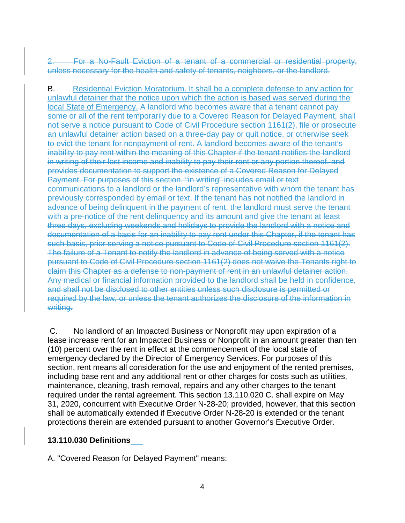2. For a No-Fault Eviction of a tenant of a commercial or residential property, unless necessary for the health and safety of tenants, neighbors, or the landlord.

B. Residential Eviction Moratorium. It shall be a complete defense to any action for unlawful detainer that the notice upon which the action is based was served during the local State of Emergency. A landlord who becomes aware that a tenant cannot pay some or all of the rent temporarily due to a Covered Reason for Delayed Payment, shall not serve a notice pursuant to Code of Civil Procedure section 1161(2), file or prosecute an unlawful detainer action based on a three-day pay or quit notice, or otherwise seek to evict the tenant for nonpayment of rent. A landlord becomes aware of the tenant's inability to pay rent within the meaning of this Chapter if the tenant notifies the landlord in writing of their lost income and inability to pay their rent or any portion thereof, and provides documentation to support the existence of a Covered Reason for Delayed Payment. For purposes of this section, "in writing" includes email or text communications to a landlord or the landlord's representative with whom the tenant has previously corresponded by email or text. If the tenant has not notified the landlord in advance of being delinquent in the payment of rent, the landlord must serve the tenant with a pre-notice of the rent delinquency and its amount and give the tenant at least three days, excluding weekends and holidays to provide the landlord with a notice and documentation of a basis for an inability to pay rent under this Chapter, if the tenant has such basis, prior serving a notice pursuant to Code of Civil Procedure section 1161(2). The failure of a Tenant to notify the landlord in advance of being served with a notice pursuant to Code of Civil Procedure section 1161(2) does not waive the Tenants right to claim this Chapter as a defense to non-payment of rent in an unlawful detainer action. Any medical or financial information provided to the landlord shall be held in confidence, and shall not be disclosed to other entities unless such disclosure is permitted or required by the law, or unless the tenant authorizes the disclosure of the information in writing.

C. No landlord of an Impacted Business or Nonprofit may upon expiration of a lease increase rent for an Impacted Business or Nonprofit in an amount greater than ten (10) percent over the rent in effect at the commencement of the local state of emergency declared by the Director of Emergency Services. For purposes of this section, rent means all consideration for the use and enjoyment of the rented premises, including base rent and any additional rent or other charges for costs such as utilities, maintenance, cleaning, trash removal, repairs and any other charges to the tenant required under the rental agreement. This section 13.110.020 C. shall expire on May 31, 2020, concurrent with Executive Order N-28-20; provided, however, that this section shall be automatically extended if Executive Order N-28-20 is extended or the tenant protections therein are extended pursuant to another Governor's Executive Order.

# **13.110.030 Definitions**

A. "Covered Reason for Delayed Payment" means: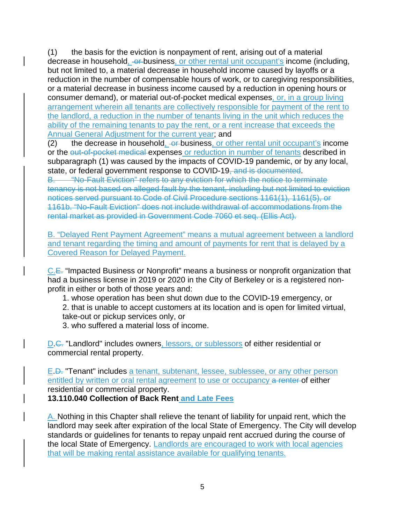(1) the basis for the eviction is nonpayment of rent, arising out of a material decrease in household, or business, or other rental unit occupant's income (including, but not limited to, a material decrease in household income caused by layoffs or a reduction in the number of compensable hours of work, or to caregiving responsibilities, or a material decrease in business income caused by a reduction in opening hours or consumer demand), or material out-of-pocket medical expenses, or, in a group living arrangement wherein all tenants are collectively responsible for payment of the rent to the landlord, a reduction in the number of tenants living in the unit which reduces the ability of the remaining tenants to pay the rent, or a rent increase that exceeds the Annual General Adjustment for the current year; and

(2) the decrease in household,  $-\theta$ -business, or other rental unit occupant's income or the out-of-pocket medical expenses or reduction in number of tenants described in subparagraph (1) was caused by the impacts of COVID-19 pandemic, or by any local, state, or federal government response to COVID-19, and is documented.

"No-Fault Eviction" refers to any eviction for which the notice to terminate tenancy is not based on alleged fault by the tenant, including but not limited to eviction notices served pursuant to Code of Civil Procedure sections 1161(1), 1161(5), or 1161b. "No-Fault Eviction" does not include withdrawal of accommodations from the rental market as provided in Government Code 7060 et seq. (Ellis Act).

B. "Delayed Rent Payment Agreement" means a mutual agreement between a landlord and tenant regarding the timing and amount of payments for rent that is delayed by a Covered Reason for Delayed Payment.

C.E. "Impacted Business or Nonprofit" means a business or nonprofit organization that had a business license in 2019 or 2020 in the City of Berkeley or is a registered nonprofit in either or both of those years and:

1. whose operation has been shut down due to the COVID-19 emergency, or 2. that is unable to accept customers at its location and is open for limited virtual, take-out or pickup services only, or

3. who suffered a material loss of income.

D.C. "Landlord" includes owners, lessors, or sublessors of either residential or commercial rental property.

E.D. "Tenant" includes a tenant, subtenant, lessee, sublessee, or any other person entitled by written or oral rental agreement to use or occupancy a renter of either residential or commercial property.

**13.110.040 Collection of Back Rent and Late Fees**

A. Nothing in this Chapter shall relieve the tenant of liability for unpaid rent, which the landlord may seek after expiration of the local State of Emergency. The City will develop standards or guidelines for tenants to repay unpaid rent accrued during the course of the local State of Emergency. Landlords are encouraged to work with local agencies that will be making rental assistance available for qualifying tenants.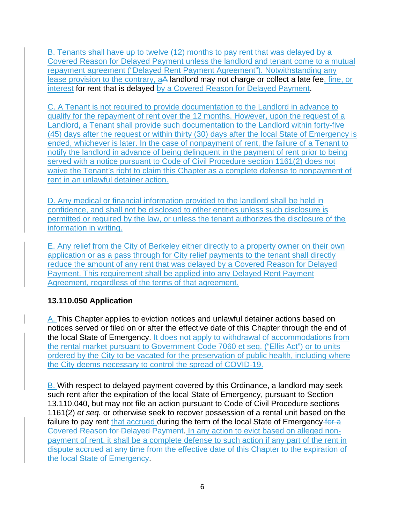B. Tenants shall have up to twelve (12) months to pay rent that was delayed by a Covered Reason for Delayed Payment unless the landlord and tenant come to a mutual repayment agreement ("Delayed Rent Payment Agreement"). Notwithstanding any lease provision to the contrary, aA landlord may not charge or collect a late fee, fine, or interest for rent that is delayed by a Covered Reason for Delayed Payment.

C. A Tenant is not required to provide documentation to the Landlord in advance to qualify for the repayment of rent over the 12 months. However, upon the request of a Landlord, a Tenant shall provide such documentation to the Landlord within forty-five (45) days after the request or within thirty (30) days after the local State of Emergency is ended, whichever is later. In the case of nonpayment of rent, the failure of a Tenant to notify the landlord in advance of being delinquent in the payment of rent prior to being served with a notice pursuant to Code of Civil Procedure section 1161(2) does not waive the Tenant's right to claim this Chapter as a complete defense to nonpayment of rent in an unlawful detainer action.

D. Any medical or financial information provided to the landlord shall be held in confidence, and shall not be disclosed to other entities unless such disclosure is permitted or required by the law, or unless the tenant authorizes the disclosure of the information in writing.

E. Any relief from the City of Berkeley either directly to a property owner on their own application or as a pass through for City relief payments to the tenant shall directly reduce the amount of any rent that was delayed by a Covered Reason for Delayed Payment. This requirement shall be applied into any Delayed Rent Payment Agreement, regardless of the terms of that agreement.

# **13.110.050 Application**

A. This Chapter applies to eviction notices and unlawful detainer actions based on notices served or filed on or after the effective date of this Chapter through the end of the local State of Emergency. It does not apply to withdrawal of accommodations from the rental market pursuant to Government Code 7060 et seq. ("Ellis Act") or to units ordered by the City to be vacated for the preservation of public health, including where the City deems necessary to control the spread of COVID-19.

B. With respect to delayed payment covered by this Ordinance, a landlord may seek such rent after the expiration of the local State of Emergency, pursuant to Section 13.110.040, but may not file an action pursuant to Code of Civil Procedure sections 1161(2) *et seq.* or otherwise seek to recover possession of a rental unit based on the failure to pay rent that accrued during the term of the local State of Emergency for a Covered Reason for Delayed Payment. In any action to evict based on alleged nonpayment of rent, it shall be a complete defense to such action if any part of the rent in dispute accrued at any time from the effective date of this Chapter to the expiration of the local State of Emergency.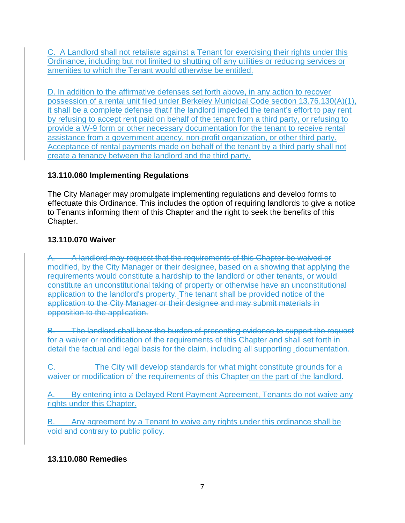C. A Landlord shall not retaliate against a Tenant for exercising their rights under this Ordinance, including but not limited to shutting off any utilities or reducing services or amenities to which the Tenant would otherwise be entitled.

D. In addition to the affirmative defenses set forth above, in any action to recover possession of a rental unit filed under Berkeley Municipal Code section 13.76.130(A)(1), it shall be a complete defense thatif the landlord impeded the tenant's effort to pay rent by refusing to accept rent paid on behalf of the tenant from a third party, or refusing to provide a W-9 form or other necessary documentation for the tenant to receive rental assistance from a government agency, non-profit organization, or other third party. Acceptance of rental payments made on behalf of the tenant by a third party shall not create a tenancy between the landlord and the third party.

# **13.110.060 Implementing Regulations**

The City Manager may promulgate implementing regulations and develop forms to effectuate this Ordinance. This includes the option of requiring landlords to give a notice to Tenants informing them of this Chapter and the right to seek the benefits of this Chapter.

# **13.110.070 Waiver**

A. A landlord may request that the requirements of this Chapter be waived or modified, by the City Manager or their designee, based on a showing that applying the requirements would constitute a hardship to the landlord or other tenants, or would constitute an unconstitutional taking of property or otherwise have an unconstitutional application to the landlord's property. The tenant shall be provided notice of the application to the City Manager or their designee and may submit materials in opposition to the application.

B. The landlord shall bear the burden of presenting evidence to support the request for a waiver or modification of the requirements of this Chapter and shall set forth in detail the factual and legal basis for the claim, including all supporting documentation.

C. The City will develop standards for what might constitute grounds for a waiver or modification of the requirements of this Chapter on the part of the landlord.

A. By entering into a Delayed Rent Payment Agreement, Tenants do not waive any rights under this Chapter.

B. Any agreement by a Tenant to waive any rights under this ordinance shall be void and contrary to public policy.

# **13.110.080 Remedies**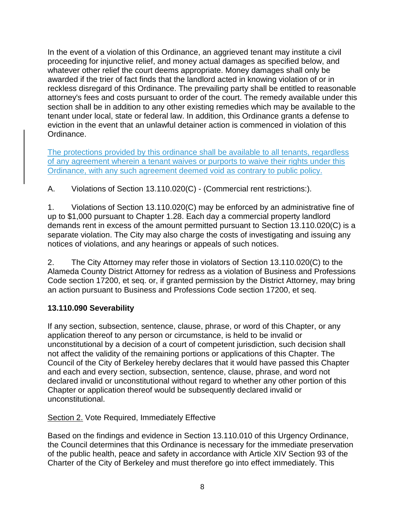In the event of a violation of this Ordinance, an aggrieved tenant may institute a civil proceeding for injunctive relief, and money actual damages as specified below, and whatever other relief the court deems appropriate. Money damages shall only be awarded if the trier of fact finds that the landlord acted in knowing violation of or in reckless disregard of this Ordinance. The prevailing party shall be entitled to reasonable attorney's fees and costs pursuant to order of the court. The remedy available under this section shall be in addition to any other existing remedies which may be available to the tenant under local, state or federal law. In addition, this Ordinance grants a defense to eviction in the event that an unlawful detainer action is commenced in violation of this Ordinance.

The protections provided by this ordinance shall be available to all tenants, regardless of any agreement wherein a tenant waives or purports to waive their rights under this Ordinance, with any such agreement deemed void as contrary to public policy.

A. Violations of Section 13.110.020(C) - (Commercial rent restrictions:).

1. Violations of Section 13.110.020(C) may be enforced by an administrative fine of up to \$1,000 pursuant to Chapter 1.28. Each day a commercial property landlord demands rent in excess of the amount permitted pursuant to Section 13.110.020(C) is a separate violation. The City may also charge the costs of investigating and issuing any notices of violations, and any hearings or appeals of such notices.

2. The City Attorney may refer those in violators of Section 13.110.020(C) to the Alameda County District Attorney for redress as a violation of Business and Professions Code section 17200, et seq. or, if granted permission by the District Attorney, may bring an action pursuant to Business and Professions Code section 17200, et seq.

# **13.110.090 Severability**

If any section, subsection, sentence, clause, phrase, or word of this Chapter, or any application thereof to any person or circumstance, is held to be invalid or unconstitutional by a decision of a court of competent jurisdiction, such decision shall not affect the validity of the remaining portions or applications of this Chapter. The Council of the City of Berkeley hereby declares that it would have passed this Chapter and each and every section, subsection, sentence, clause, phrase, and word not declared invalid or unconstitutional without regard to whether any other portion of this Chapter or application thereof would be subsequently declared invalid or unconstitutional.

# Section 2. Vote Required, Immediately Effective

Based on the findings and evidence in Section 13.110.010 of this Urgency Ordinance, the Council determines that this Ordinance is necessary for the immediate preservation of the public health, peace and safety in accordance with Article XIV Section 93 of the Charter of the City of Berkeley and must therefore go into effect immediately. This